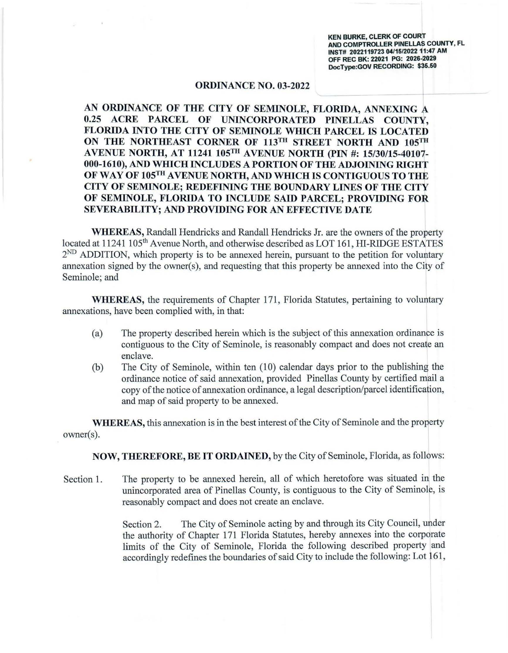**KEN BURKE, CLERK OF COURT AND COMPTROLLER PINELLAS COUNTY, FL INST# 2022119723 04/15/2022 11:47 AM OFF REC BK: 22021 PG: 2026-2029 DocType:GOV RECORDING: \$35.50** 

## **ORDINANCE NO. 03-2022**

**AN ORDINANCE OF THE CITY OF SEMINOLE, FLORIDA, ANNEXING A 0.25 ACRE PARCEL OF UNINCORPORATED PINELLAS COUNTY, FLORIDA INTO THE CITY OF SEMINOLE WHICH PARCEL IS LOCATED**  ON THE NORTHEAST CORNER OF 113<sup>TH</sup> STREET NORTH AND 105<sup>TH</sup> **A VENUE NORTH, AT 11241 105™ AVENUE NORTH (PIN#: 15/30/15-40107- 000-1610), AND WHICH INCLUDES A PORTION OF THE ADJOINING RIGHT OF WAY OF 105TH A VENUE NORTH, AND WHICH IS CONTIGUOUS TO THE CITY OF SEMINOLE; REDEFINING THE BOUNDARY LINES OF THE CITY OF SEMINOLE, FLORIDA TO INCLUDE SAID PARCEL; PROVIDING FOR SEVERABILITY; AND PROVIDING FOR AN EFFECTIVE DATE** 

**WHEREAS,** Randall Hendricks and Randall Hendricks Jr. are the owners of the property located at 11241 105<sup>th</sup> Avenue North, and otherwise described as LOT 161, HI-RIDGE ESTATES  $2<sup>ND</sup>$  ADDITION, which property is to be annexed herein, pursuant to the petition for voluntary annexation signed by the owner(s), and requesting that this property be annexed into the City of Seminole; and

**WHEREAS,** the requirements of Chapter 171, Florida Statutes, pertaining to voluntary annexations, have been complied with, in that:

- (a) The property described herein which is the subject of this annexation ordinance is contiguous to the City of Seminole, is reasonably compact and does not create an enclave.
- (b) The City of Seminole, within ten (10) calendar days prior to the publishing the ordinance notice of said annexation, provided Pinellas County by certified mail a copy of the notice of annexation ordinance, a legal description/parcel identification, and map of said property to be annexed.

**WHEREAS,** this annexation is in the best interest of the City of Seminole and the property owner(s).

**NOW, THEREFORE, BE IT ORDAINED,** by the City of Seminole, Florida, as follows:

Section 1. The property to be annexed herein, all of which heretofore was situated in the unincorporated area of Pinellas County, is contiguous to the City of Seminole, is reasonably compact and does not create an enclave.

> Section 2. The City of Seminole acting by and through its City Council, under the authority of Chapter 171 Florida Statutes, hereby annexes into the corporate limits of the City of Seminole, Florida the following described property and accordingly redefines the boundaries of said City to include the following: Lot 161 ,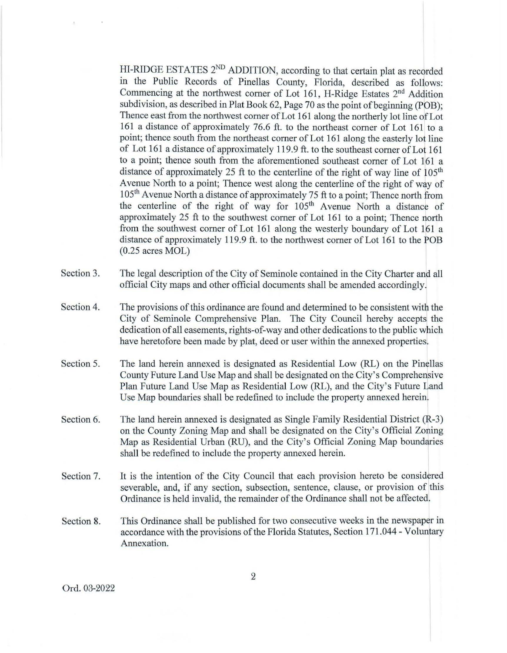HI-RIDGE ESTATES 2<sup>ND</sup> ADDITION, according to that certain plat as recorded in the Public Records of Pinellas County, Florida, described as follows: Commencing at the northwest corner of Lot 161, H-Ridge Estates 2<sup>nd</sup> Addition subdivision, as described in Plat Book 62, Page 70 as the point of beginning (POB); Thence east from the northwest corner of Lot 161 along the northerly lot line of Lot 161 a distance of approximately 76.6 ft. to the northeast comer of Lot 161 to a point; thence south from the northeast comer of Lot 161 along the easterly lot line of Lot 161 a distance of approximately 119.9 ft. to the southeast comer of Lot 161 to a point; thence south from the aforementioned southeast corner of Lot 161 a distance of approximately 25 ft to the centerline of the right of way line of  $105<sup>th</sup>$ Avenue North to a point; Thence west along the centerline of the right of way of 105<sup>th</sup> Avenue North a distance of approximately 75 ft to a point; Thence north from the centerline of the right of way for 105<sup>th</sup> Avenue North a distance of approximately 25 ft to the southwest corner of Lot 161 to a point; Thence north from the southwest corner of Lot 161 along the westerly boundary of Lot 161 a distance of approximately 119.9 ft. to the northwest comer of Lot 161 to the POB (0.25 acres MOL)

- Section 3. The legal description of the City of Seminole contained in the City Charter and all official City maps and other official documents shall be amended accordingly.
- Section 4. The provisions of this ordinance are found and determined to be consistent with the City of Seminole Comprehensive Plan. The City Council hereby accepts the dedication of all easements, rights-of-way and other dedications to the public which have heretofore been made by plat, deed or user within the annexed properties.
- Section 5. The land herein annexed is designated as Residential Low (RL) on the Pinellas County Future Land Use Map and shall be designated on the City's Comprehensive Plan Future Land Use Map as Residential Low (RL), and the City's Future Land Use Map boundaries shall be redefined to include the property annexed herein.
- Section 6. The land herein annexed is designated as Single Family Residential District (R-3) on the County Zoning Map and shall be designated on the City's Official Zoning Map as Residential Urban (RU), and the City's Official Zoning Map boundaries shall be redefined to include the property annexed herein.
- Section 7. It is the intention of the City Council that each provision hereto be considered severable, and, if any section, subsection, sentence, clause, or provision of this Ordinance is held invalid, the remainder of the Ordinance shall not be affected.
- Section 8. This Ordinance shall be published for two consecutive weeks in the newspaper in accordance with the provisions of the Florida Statutes, Section 171.044- Voluntary Annexation.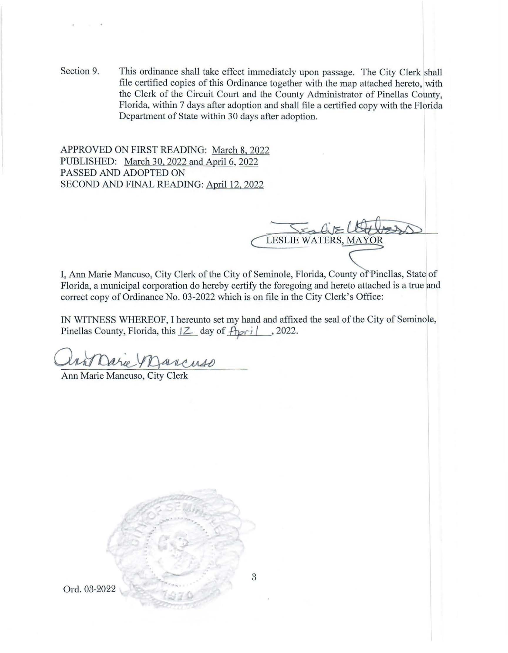Section 9. This ordinance shall take effect immediately upon passage. The City Clerk shall file certified copies of this Ordinance together with the map attached hereto, with the Clerk of the Circuit Court and the County Administrator of Pinellas County, Florida, within 7 days after adoption and shall file a certified copy with the Florida Department of State within 30 days after adoption.

APPROVED ON FIRST READING: March 8, 2022 PUBLISHED: March 30, 2022 and April 6, 2022 PASSED AND ADOPTED ON SECOND AND FINAL READING: April 12, 2022

LESLIE WATERS, MAYOR

I, Ann Marie Mancuso, City Clerk of the City of Seminole, Florida, County of Pinellas, State of Florida, a municipal corporation do hereby certify the foregoing and hereto attached is a true and correct copy of Ordinance No. 03-2022 which is on file in the City Clerk's Office:

IN WITNESS WHEREOF, I hereunto set my hand and affixed the seal of the City of Seminole, Pinellas County, Florida, this  $\sqrt{2}$  day of  $\sqrt{4pr_i}$ , 2022. TINESS WHEREOF, I hereunto set my hand and<br>as County, Florida, this  $|Z|$  day of  $Apri$ , 2<br>Marie Mancuso, City Clerk

Ann Marie Mancuso, City Clerk